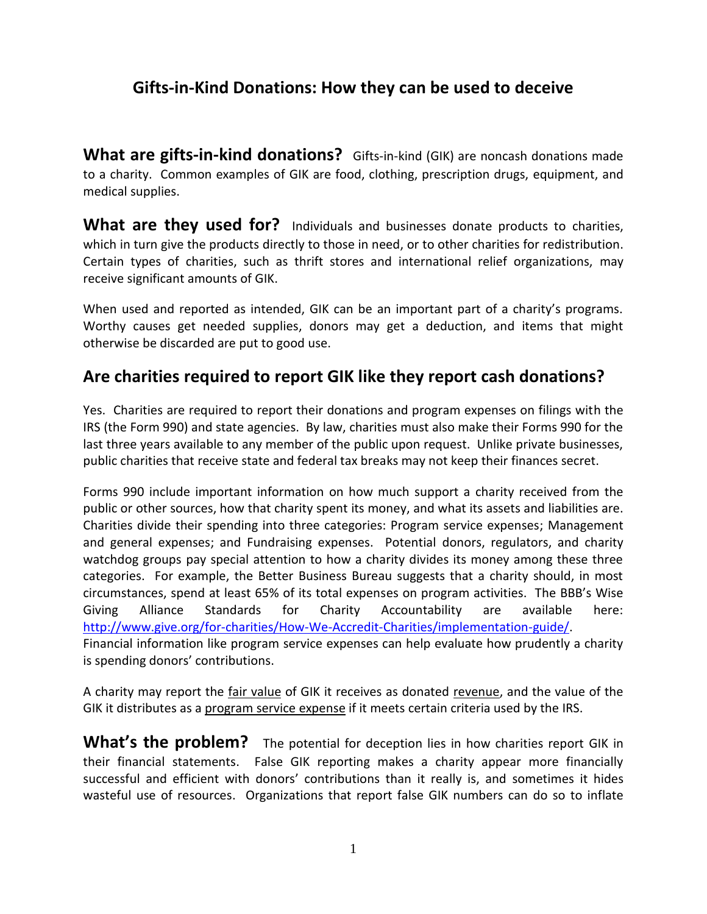# **Gifts-in-Kind Donations: How they can be used to deceive**

**What are gifts-in-kind donations?** Gifts-in-kind (GIK) are noncash donations made to a charity. Common examples of GIK are food, clothing, prescription drugs, equipment, and medical supplies.

**What are they used for?** Individuals and businesses donate products to charities, which in turn give the products directly to those in need, or to other charities for redistribution. Certain types of charities, such as thrift stores and international relief organizations, may receive significant amounts of GIK.

When used and reported as intended, GIK can be an important part of a charity's programs. Worthy causes get needed supplies, donors may get a deduction, and items that might otherwise be discarded are put to good use.

# **Are charities required to report GIK like they report cash donations?**

Yes. Charities are required to report their donations and program expenses on filings with the IRS (the Form 990) and state agencies. By law, charities must also make their Forms 990 for the last three years available to any member of the public upon request. Unlike private businesses, public charities that receive state and federal tax breaks may not keep their finances secret.

Forms 990 include important information on how much support a charity received from the public or other sources, how that charity spent its money, and what its assets and liabilities are. Charities divide their spending into three categories: Program service expenses; Management and general expenses; and Fundraising expenses. Potential donors, regulators, and charity watchdog groups pay special attention to how a charity divides its money among these three categories. For example, the Better Business Bureau suggests that a charity should, in most circumstances, spend at least 65% of its total expenses on program activities. The BBB's Wise Giving Alliance Standards for Charity Accountability are available here: [http://www.give.org/for-charities/How-We-Accredit-Charities/implementation-guide/.](http://www.give.org/for-charities/How-We-Accredit-Charities/implementation-guide/) Financial information like program service expenses can help evaluate how prudently a charity is spending donors' contributions.

A charity may report the fair value of GIK it receives as donated revenue, and the value of the GIK it distributes as a program service expense if it meets certain criteria used by the IRS.

**What's the problem?** The potential for deception lies in how charities report GIK in their financial statements. False GIK reporting makes a charity appear more financially successful and efficient with donors' contributions than it really is, and sometimes it hides wasteful use of resources. Organizations that report false GIK numbers can do so to inflate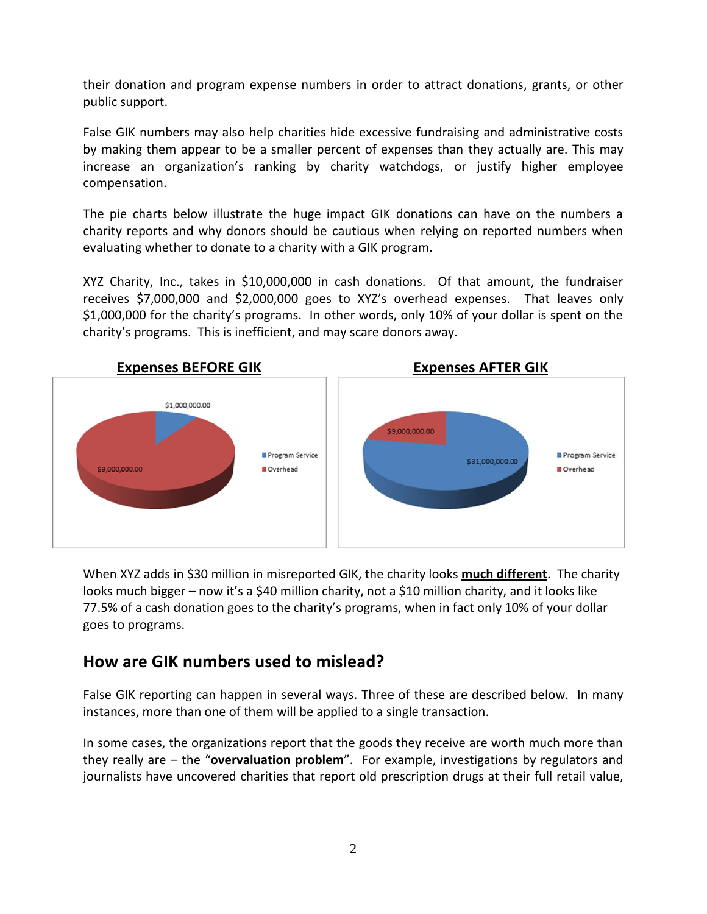their donation and program expense numbers in order to attract donations, grants, or other public support.

False GIK numbers may also help charities hide excessive fundraising and administrative costs by making them appear to be a smaller percent of expenses than they actually are. This may increase an organization's ranking by charity watchdogs, or justify higher employee compensation.

The pie charts below illustrate the huge impact GIK donations can have on the numbers a charity reports and why donors should be cautious when relying on reported numbers when evaluating whether to donate to a charity with a GIK program.

XYZ Charity, Inc., takes in \$10,000,000 in cash donations. Of that amount, the fundraiser receives \$7,000,000 and \$2,000,000 goes to XYZ's overhead expenses. That leaves only \$1,000,000 for the charity's programs. In other words, only 10% of your dollar is spent on the charity's programs. This is inefficient, and may scare donors away.



When XYZ adds in \$30 million in misreported GIK, the charity looks **much different**. The charity looks much bigger – now it's a \$40 million charity, not a \$10 million charity, and it looks like 77.5% of a cash donation goes to the charity's programs, when in fact only 10% of your dollar goes to programs.

# **How are GIK numbers used to mislead?**

False GIK reporting can happen in several ways. Three of these are described below. In many instances, more than one of them will be applied to a single transaction.

In some cases, the organizations report that the goods they receive are worth much more than they really are – the "**overvaluation problem**". For example, investigations by regulators and journalists have uncovered charities that report old prescription drugs at their full retail value,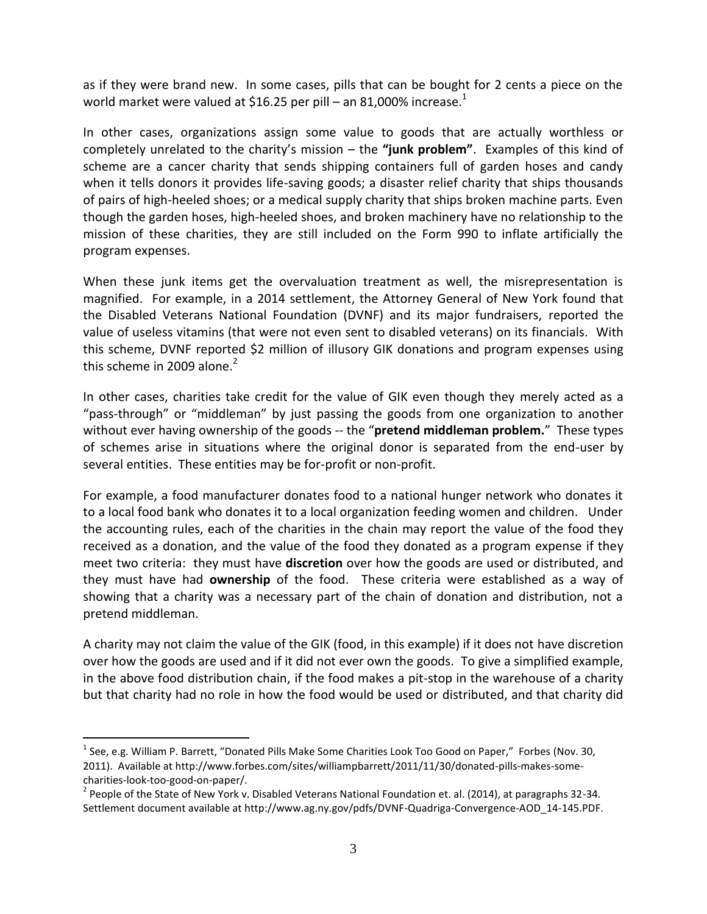as if they were brand new. In some cases, pills that can be bought for 2 cents a piece on the world market were valued at \$16.25 per pill – an 81,000% increase.<sup>1</sup>

In other cases, organizations assign some value to goods that are actually worthless or completely unrelated to the charity's mission – the **"junk problem"**. Examples of this kind of scheme are a cancer charity that sends shipping containers full of garden hoses and candy when it tells donors it provides life-saving goods; a disaster relief charity that ships thousands of pairs of high-heeled shoes; or a medical supply charity that ships broken machine parts. Even though the garden hoses, high-heeled shoes, and broken machinery have no relationship to the mission of these charities, they are still included on the Form 990 to inflate artificially the program expenses.

When these junk items get the overvaluation treatment as well, the misrepresentation is magnified. For example, in a 2014 settlement, the Attorney General of New York found that the Disabled Veterans National Foundation (DVNF) and its major fundraisers, reported the value of useless vitamins (that were not even sent to disabled veterans) on its financials. With this scheme, DVNF reported \$2 million of illusory GIK donations and program expenses using this scheme in 2009 alone.<sup>2</sup>

In other cases, charities take credit for the value of GIK even though they merely acted as a "pass-through" or "middleman" by just passing the goods from one organization to another without ever having ownership of the goods -- the "**pretend middleman problem.**" These types of schemes arise in situations where the original donor is separated from the end-user by several entities. These entities may be for-profit or non-profit.

For example, a food manufacturer donates food to a national hunger network who donates it to a local food bank who donates it to a local organization feeding women and children. Under the accounting rules, each of the charities in the chain may report the value of the food they received as a donation, and the value of the food they donated as a program expense if they meet two criteria: they must have **discretion** over how the goods are used or distributed, and they must have had **ownership** of the food. These criteria were established as a way of showing that a charity was a necessary part of the chain of donation and distribution, not a pretend middleman.

A charity may not claim the value of the GIK (food, in this example) if it does not have discretion over how the goods are used and if it did not ever own the goods. To give a simplified example, in the above food distribution chain, if the food makes a pit-stop in the warehouse of a charity but that charity had no role in how the food would be used or distributed, and that charity did

 $\overline{a}$ 

<sup>&</sup>lt;sup>1</sup> See, e.g. William P. Barrett, "Donated Pills Make Some Charities Look Too Good on Paper," Forbes (Nov. 30, 2011). Available at http://www.forbes.com/sites/williampbarrett/2011/11/30/donated-pills-makes-somecharities-look-too-good-on-paper/.

 $^2$  People of the State of New York v. Disabled Veterans National Foundation et. al. (2014), at paragraphs 32-34. Settlement document available at http://www.ag.ny.gov/pdfs/DVNF-Quadriga-Convergence-AOD\_14-145.PDF.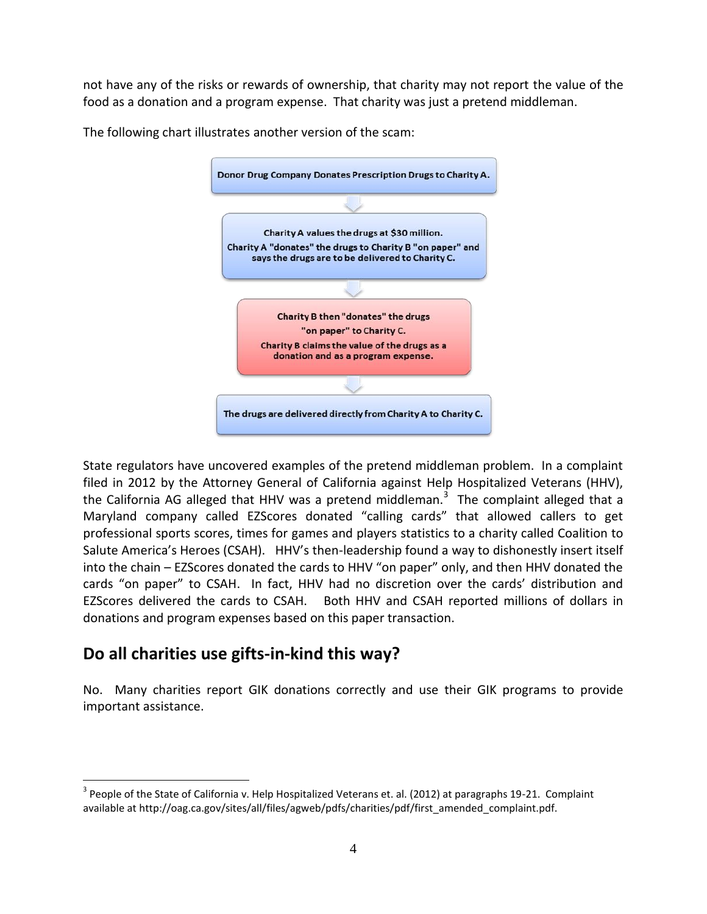not have any of the risks or rewards of ownership, that charity may not report the value of the food as a donation and a program expense. That charity was just a pretend middleman.



The following chart illustrates another version of the scam:

State regulators have uncovered examples of the pretend middleman problem. In a complaint filed in 2012 by the Attorney General of California against Help Hospitalized Veterans (HHV), the California AG alleged that HHV was a pretend middleman.<sup>3</sup> The complaint alleged that a Maryland company called EZScores donated "calling cards" that allowed callers to get professional sports scores, times for games and players statistics to a charity called Coalition to Salute America's Heroes (CSAH). HHV's then-leadership found a way to dishonestly insert itself into the chain – EZScores donated the cards to HHV "on paper" only, and then HHV donated the cards "on paper" to CSAH. In fact, HHV had no discretion over the cards' distribution and EZScores delivered the cards to CSAH. Both HHV and CSAH reported millions of dollars in donations and program expenses based on this paper transaction.

# **Do all charities use gifts-in-kind this way?**

 $\overline{a}$ 

No. Many charities report GIK donations correctly and use their GIK programs to provide important assistance.

 $3$  People of the State of California v. Help Hospitalized Veterans et. al. (2012) at paragraphs 19-21. Complaint available at http://oag.ca.gov/sites/all/files/agweb/pdfs/charities/pdf/first\_amended\_complaint.pdf.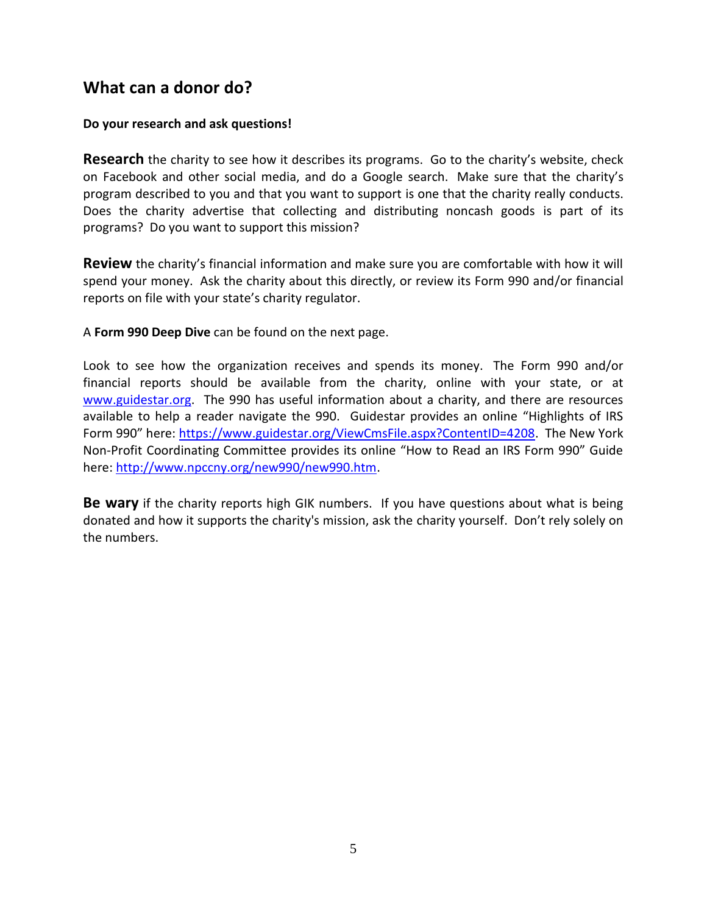#### **What can a donor do?**

#### **Do your research and ask questions!**

**Research** the charity to see how it describes its programs. Go to the charity's website, check on Facebook and other social media, and do a Google search. Make sure that the charity's program described to you and that you want to support is one that the charity really conducts. Does the charity advertise that collecting and distributing noncash goods is part of its programs? Do you want to support this mission?

**Review** the charity's financial information and make sure you are comfortable with how it will spend your money. Ask the charity about this directly, or review its Form 990 and/or financial reports on file with your state's charity regulator.

A **Form 990 Deep Dive** can be found on the next page.

Look to see how the organization receives and spends its money. The Form 990 and/or financial reports should be available from the charity, online with your state, or at [www.guidestar.org.](http://www.guidestar.org/) The 990 has useful information about a charity, and there are resources available to help a reader navigate the 990. Guidestar provides an online "Highlights of IRS Form 990" here: [https://www.guidestar.org/ViewCmsFile.aspx?ContentID=4208.](https://www.guidestar.org/ViewCmsFile.aspx?ContentID=4208) The New York Non-Profit Coordinating Committee provides its online "How to Read an IRS Form 990" Guide here: [http://www.npccny.org/new990/new990.htm.](http://www.npccny.org/new990/new990.htm)

**Be wary** if the charity reports high GIK numbers. If you have questions about what is being donated and how it supports the charity's mission, ask the charity yourself. Don't rely solely on the numbers.